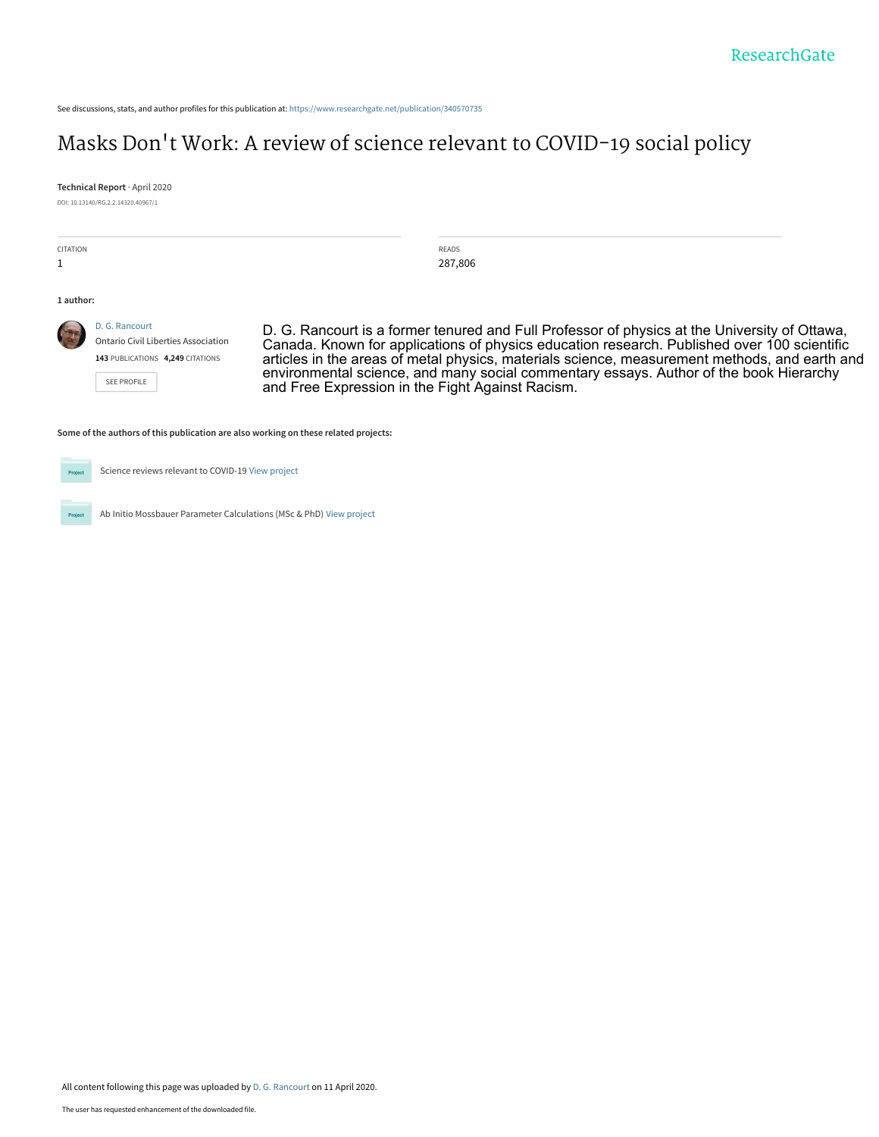See discussions, stats, and author profiles for this publication at: [https://www.researchgate.net/publication/340570735](https://www.researchgate.net/publication/340570735_Masks_Don%27t_Work_A_review_of_science_relevant_to_COVID-19_social_policy?enrichId=rgreq-2e4b5f13cf77fb1a6cf858f1e46cd498-XXX&enrichSource=Y292ZXJQYWdlOzM0MDU3MDczNTtBUzo4NzkxNzY5Nzg1NTQ4ODBAMTU4NjYyMzUzNDUxNQ%3D%3D&el=1_x_2&_esc=publicationCoverPdf)

## Masks Don['t Work: A review of science relevant to COVID-19 social policy](https://www.researchgate.net/publication/340570735_Masks_Don%27t_Work_A_review_of_science_relevant_to_COVID-19_social_policy?enrichId=rgreq-2e4b5f13cf77fb1a6cf858f1e46cd498-XXX&enrichSource=Y292ZXJQYWdlOzM0MDU3MDczNTtBUzo4NzkxNzY5Nzg1NTQ4ODBAMTU4NjYyMzUzNDUxNQ%3D%3D&el=1_x_3&_esc=publicationCoverPdf)

**Technical Report** · April 2020

DOI: 10.13140/RG.2.2.14320.40967/1

| <b>CITATION</b> |                                                                                     | <b>READS</b><br>287,806                                                                                                                                                                 |
|-----------------|-------------------------------------------------------------------------------------|-----------------------------------------------------------------------------------------------------------------------------------------------------------------------------------------|
| 1 author:       |                                                                                     |                                                                                                                                                                                         |
|                 | D. G. Rancourt<br><b>Ontario Civil Liberties Association</b>                        | D. G. Rancourt is a former tenured and Full Professor of physics at the University of Ottawa,                                                                                           |
|                 |                                                                                     | Canada. Known for applications of physics education research. Published over 100 scientific                                                                                             |
|                 | 143 PUBLICATIONS 4,249 CITATIONS                                                    | articles in the areas of metal physics, materials science, measurement methods, and earth and<br>environmental science, and many social commentary essays. Author of the book Hierarchy |
|                 | SEE PROFILE                                                                         | and Free Expression in the Fight Against Racism.                                                                                                                                        |
|                 | Some of the authors of this publication are also working on these related projects: |                                                                                                                                                                                         |
|                 |                                                                                     |                                                                                                                                                                                         |

**Project** 

Science reviews relevant to COVID-19 [View project](https://www.researchgate.net/project/Science-reviews-relevant-to-COVID-19?enrichId=rgreq-2e4b5f13cf77fb1a6cf858f1e46cd498-XXX&enrichSource=Y292ZXJQYWdlOzM0MDU3MDczNTtBUzo4NzkxNzY5Nzg1NTQ4ODBAMTU4NjYyMzUzNDUxNQ%3D%3D&el=1_x_9&_esc=publicationCoverPdf)

Project

Ab Initio Mossbauer Parameter Calculations (MSc & PhD) [View project](https://www.researchgate.net/project/Ab-Initio-Mossbauer-Parameter-Calculations-MSc-PhD?enrichId=rgreq-2e4b5f13cf77fb1a6cf858f1e46cd498-XXX&enrichSource=Y292ZXJQYWdlOzM0MDU3MDczNTtBUzo4NzkxNzY5Nzg1NTQ4ODBAMTU4NjYyMzUzNDUxNQ%3D%3D&el=1_x_9&_esc=publicationCoverPdf)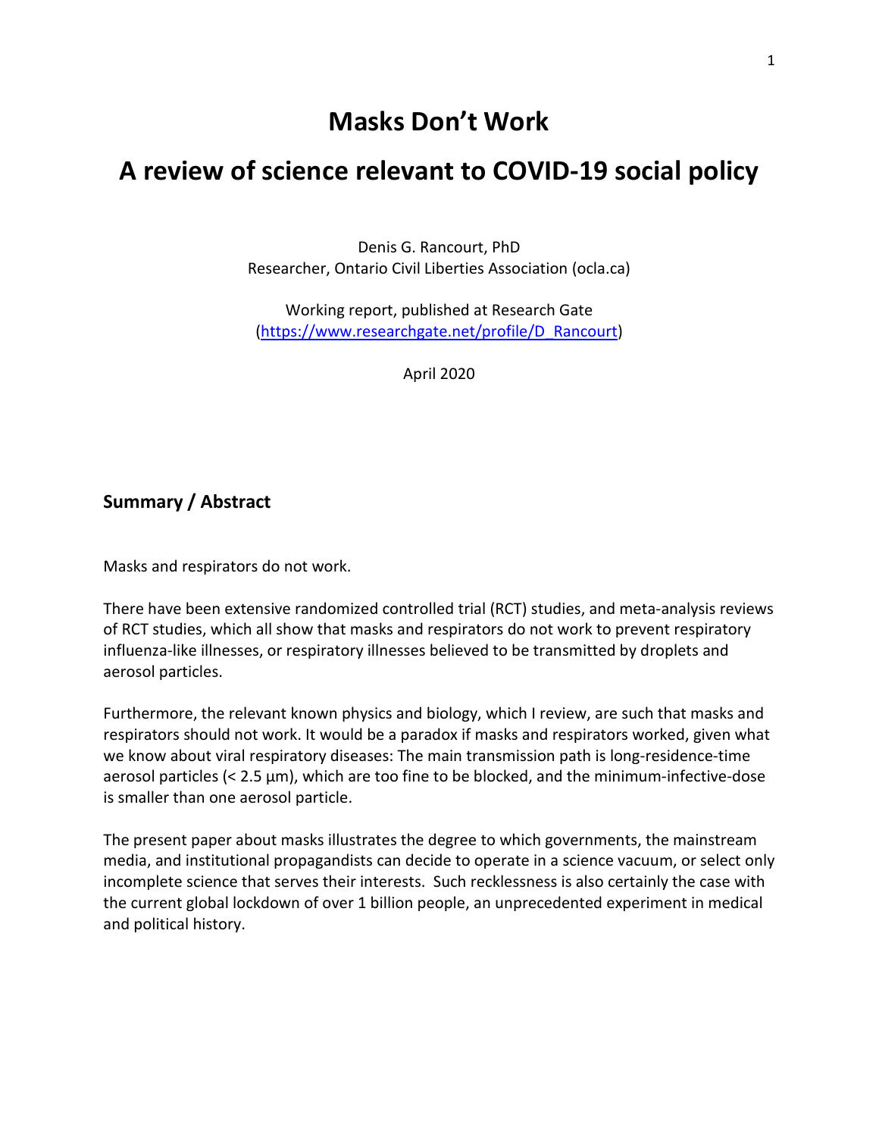## **Masks Don't Work**

# **A review of science relevant to COVID-19 social policy**

Denis G. Rancourt, PhD Researcher, Ontario Civil Liberties Association (ocla.ca)

Working report, published at Research Gate [\(https://www.researchgate.net/profile/D\\_Rancourt\)](https://www.researchgate.net/profile/D_Rancourt)

April 2020

#### **Summary / Abstract**

Masks and respirators do not work.

There have been extensive randomized controlled trial (RCT) studies, and meta-analysis reviews of RCT studies, which all show that masks and respirators do not work to prevent respiratory influenza-like illnesses, or respiratory illnesses believed to be transmitted by droplets and aerosol particles.

Furthermore, the relevant known physics and biology, which I review, are such that masks and respirators should not work. It would be a paradox if masks and respirators worked, given what we know about viral respiratory diseases: The main transmission path is long-residence-time aerosol particles  $\left($  < 2.5  $\mu$ m), which are too fine to be blocked, and the minimum-infective-dose is smaller than one aerosol particle.

The present paper about masks illustrates the degree to which governments, the mainstream media, and institutional propagandists can decide to operate in a science vacuum, or select only incomplete science that serves their interests. Such recklessness is also certainly the case with the current global lockdown of over 1 billion people, an unprecedented experiment in medical and political history.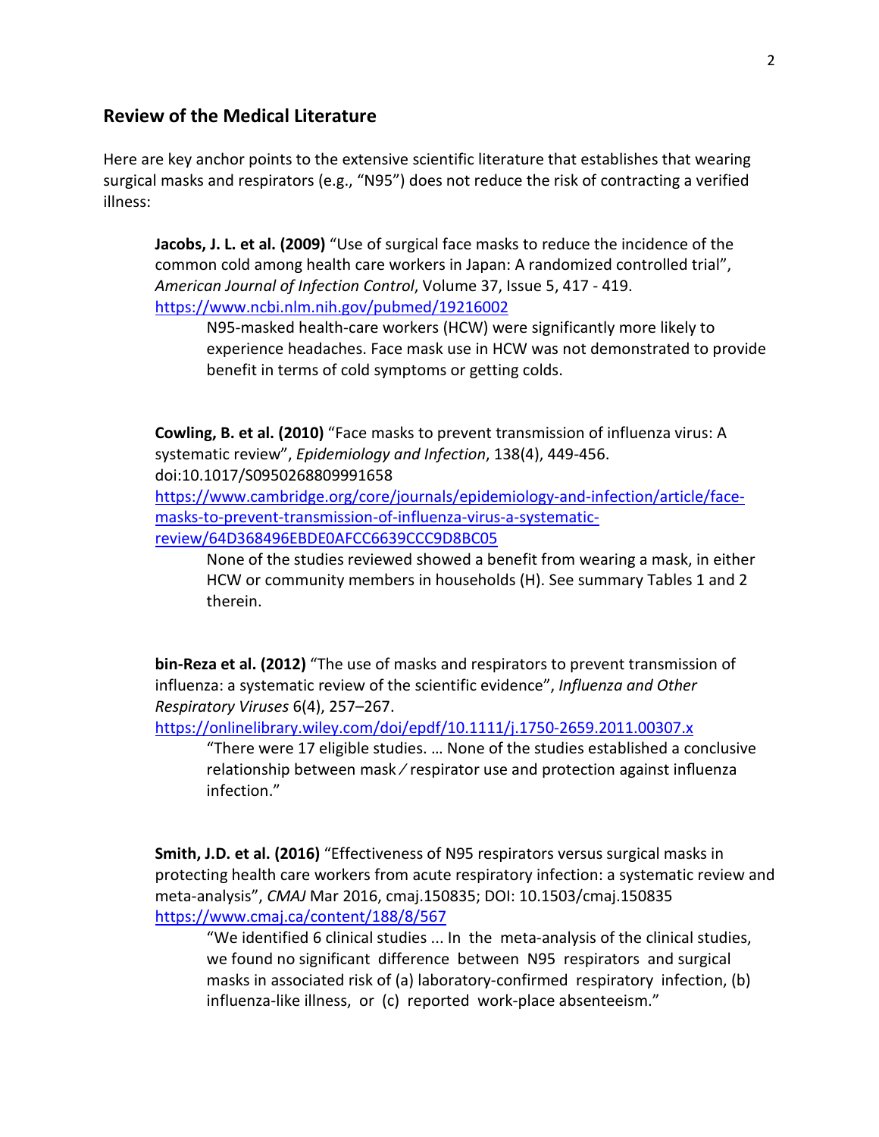#### **Review of the Medical Literature**

Here are key anchor points to the extensive scientific literature that establishes that wearing surgical masks and respirators (e.g., "N95") does not reduce the risk of contracting a verified illness:

**Jacobs, J. L. et al. (2009)** "Use of surgical face masks to reduce the incidence of the common cold among health care workers in Japan: A randomized controlled trial", *American Journal of Infection Control*, Volume 37, Issue 5, 417 - 419. <https://www.ncbi.nlm.nih.gov/pubmed/19216002>

N95-masked health-care workers (HCW) were significantly more likely to experience headaches. Face mask use in HCW was not demonstrated to provide benefit in terms of cold symptoms or getting colds.

**Cowling, B. et al. (2010)** "Face masks to prevent transmission of influenza virus: A systematic review", *Epidemiology and Infection*, 138(4), 449-456. doi:10.1017/S0950268809991658

[https://www.cambridge.org/core/journals/epidemiology-and-infection/article/face](https://www.cambridge.org/core/journals/epidemiology-and-infection/article/face-masks-to-prevent-transmission-of-influenza-virus-a-systematic-review/64D368496EBDE0AFCC6639CCC9D8BC05)[masks-to-prevent-transmission-of-influenza-virus-a-systematic](https://www.cambridge.org/core/journals/epidemiology-and-infection/article/face-masks-to-prevent-transmission-of-influenza-virus-a-systematic-review/64D368496EBDE0AFCC6639CCC9D8BC05)[review/64D368496EBDE0AFCC6639CCC9D8BC05](https://www.cambridge.org/core/journals/epidemiology-and-infection/article/face-masks-to-prevent-transmission-of-influenza-virus-a-systematic-review/64D368496EBDE0AFCC6639CCC9D8BC05)

None of the studies reviewed showed a benefit from wearing a mask, in either HCW or community members in households (H). See summary Tables 1 and 2 therein.

**bin-Reza et al. (2012)** "The use of masks and respirators to prevent transmission of influenza: a systematic review of the scientific evidence", *Influenza and Other Respiratory Viruses* 6(4), 257–267.

<https://onlinelibrary.wiley.com/doi/epdf/10.1111/j.1750-2659.2011.00307.x>

"There were 17 eligible studies. … None of the studies established a conclusive relationship between mask ⁄ respirator use and protection against influenza infection."

**Smith, J.D. et al. (2016)** "Effectiveness of N95 respirators versus surgical masks in protecting health care workers from acute respiratory infection: a systematic review and meta-analysis", *CMAJ* Mar 2016, cmaj.150835; DOI: 10.1503/cmaj.150835 <https://www.cmaj.ca/content/188/8/567>

"We identified 6 clinical studies ... In the meta-analysis of the clinical studies, we found no significant difference between N95 respirators and surgical masks in associated risk of (a) laboratory-confirmed respiratory infection, (b) influenza-like illness, or (c) reported work-place absenteeism."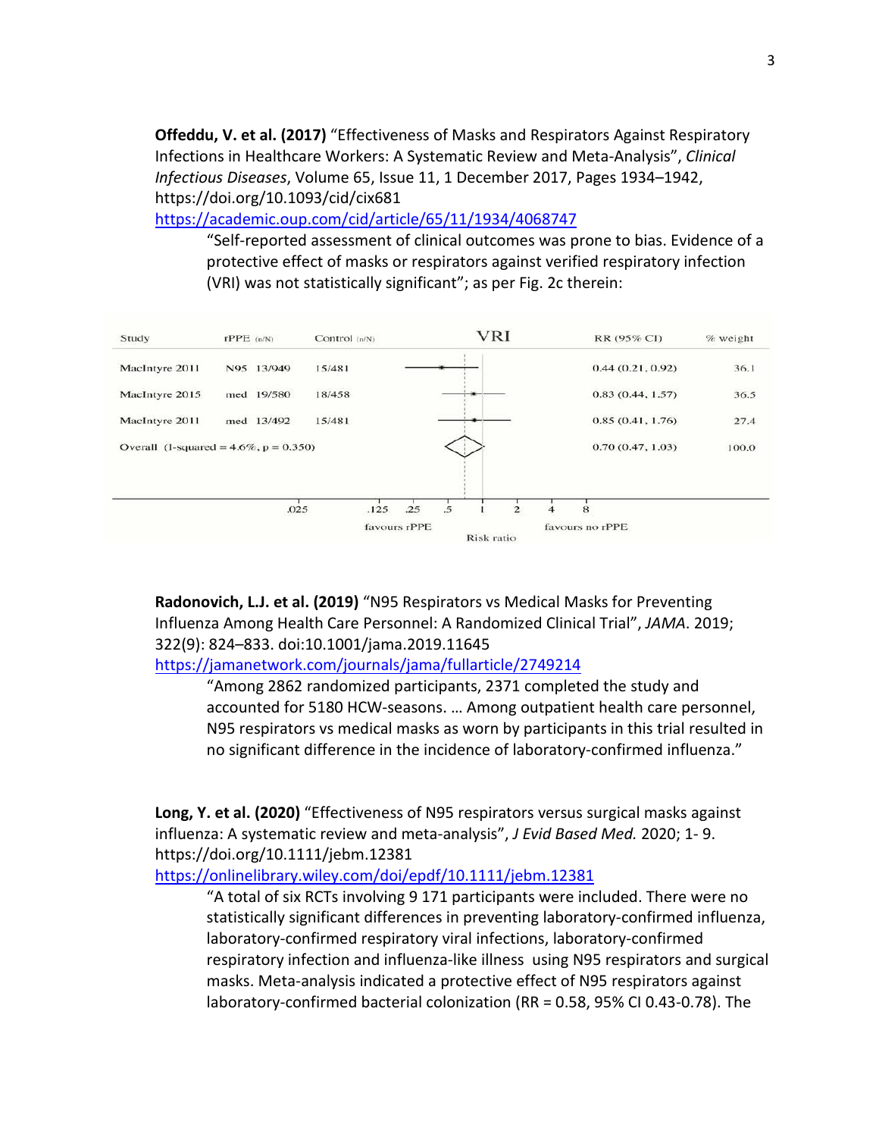**Offeddu, V. et al. (2017)** "Effectiveness of Masks and Respirators Against Respiratory Infections in Healthcare Workers: A Systematic Review and Meta-Analysis", *Clinical Infectious Diseases*, Volume 65, Issue 11, 1 December 2017, Pages 1934–1942, https://doi.org/10.1093/cid/cix681

<https://academic.oup.com/cid/article/65/11/1934/4068747>

"Self-reported assessment of clinical outcomes was prone to bias. Evidence of a protective effect of masks or respirators against verified respiratory infection (VRI) was not statistically significant"; as per Fig. 2c therein:



**Radonovich, L.J. et al. (2019)** "N95 Respirators vs Medical Masks for Preventing Influenza Among Health Care Personnel: A Randomized Clinical Trial", *JAMA*. 2019; 322(9): 824–833. doi:10.1001/jama.2019.11645

<https://jamanetwork.com/journals/jama/fullarticle/2749214>

"Among 2862 randomized participants, 2371 completed the study and accounted for 5180 HCW-seasons. … Among outpatient health care personnel, N95 respirators vs medical masks as worn by participants in this trial resulted in no significant difference in the incidence of laboratory-confirmed influenza."

**Long, Y. et al. (2020)** "Effectiveness of N95 respirators versus surgical masks against influenza: A systematic review and meta-analysis", *J Evid Based Med.* 2020; 1- 9. https://doi.org/10.1111/jebm.12381

<https://onlinelibrary.wiley.com/doi/epdf/10.1111/jebm.12381>

"A total of six RCTs involving 9 171 participants were included. There were no statistically significant differences in preventing laboratory-confirmed influenza, laboratory-confirmed respiratory viral infections, laboratory-confirmed respiratory infection and influenza-like illness using N95 respirators and surgical masks. Meta-analysis indicated a protective effect of N95 respirators against laboratory-confirmed bacterial colonization (RR = 0.58, 95% CI 0.43-0.78). The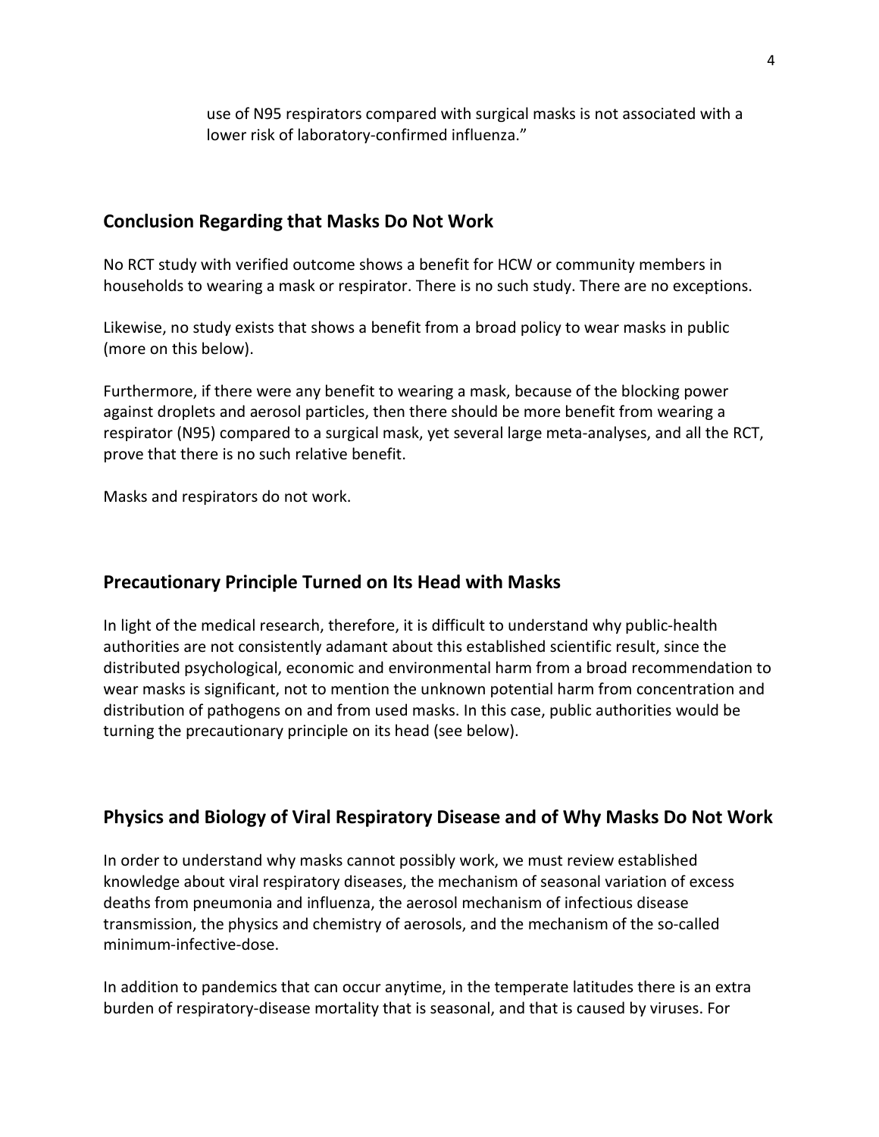use of N95 respirators compared with surgical masks is not associated with a lower risk of laboratory-confirmed influenza."

#### **Conclusion Regarding that Masks Do Not Work**

No RCT study with verified outcome shows a benefit for HCW or community members in households to wearing a mask or respirator. There is no such study. There are no exceptions.

Likewise, no study exists that shows a benefit from a broad policy to wear masks in public (more on this below).

Furthermore, if there were any benefit to wearing a mask, because of the blocking power against droplets and aerosol particles, then there should be more benefit from wearing a respirator (N95) compared to a surgical mask, yet several large meta-analyses, and all the RCT, prove that there is no such relative benefit.

Masks and respirators do not work.

#### **Precautionary Principle Turned on Its Head with Masks**

In light of the medical research, therefore, it is difficult to understand why public-health authorities are not consistently adamant about this established scientific result, since the distributed psychological, economic and environmental harm from a broad recommendation to wear masks is significant, not to mention the unknown potential harm from concentration and distribution of pathogens on and from used masks. In this case, public authorities would be turning the precautionary principle on its head (see below).

#### **Physics and Biology of Viral Respiratory Disease and of Why Masks Do Not Work**

In order to understand why masks cannot possibly work, we must review established knowledge about viral respiratory diseases, the mechanism of seasonal variation of excess deaths from pneumonia and influenza, the aerosol mechanism of infectious disease transmission, the physics and chemistry of aerosols, and the mechanism of the so-called minimum-infective-dose.

In addition to pandemics that can occur anytime, in the temperate latitudes there is an extra burden of respiratory-disease mortality that is seasonal, and that is caused by viruses. For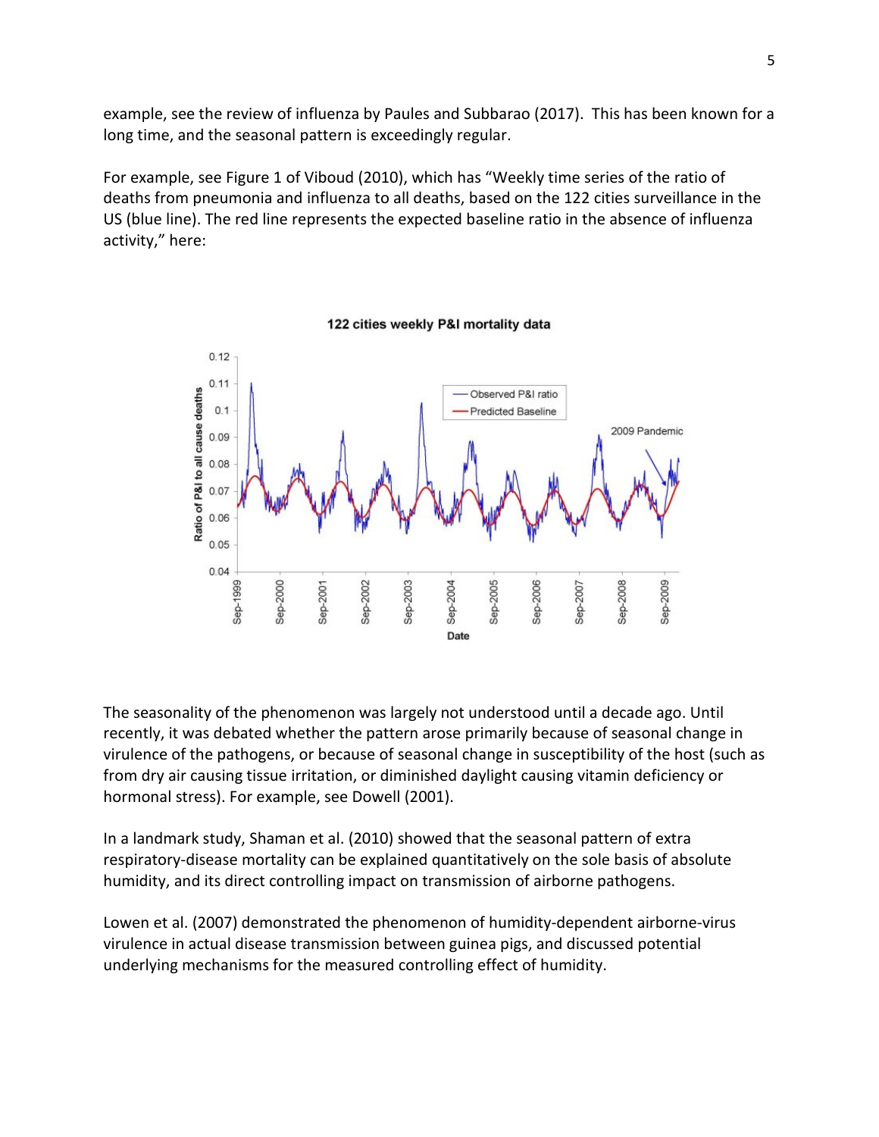example, see the review of influenza by Paules and Subbarao (2017). This has been known for a long time, and the seasonal pattern is exceedingly regular.

For example, see Figure 1 of Viboud (2010), which has "Weekly time series of the ratio of deaths from pneumonia and influenza to all deaths, based on the 122 cities surveillance in the US (blue line). The red line represents the expected baseline ratio in the absence of influenza activity," here:



122 cities weekly P&I mortality data

The seasonality of the phenomenon was largely not understood until a decade ago. Until recently, it was debated whether the pattern arose primarily because of seasonal change in virulence of the pathogens, or because of seasonal change in susceptibility of the host (such as from dry air causing tissue irritation, or diminished daylight causing vitamin deficiency or hormonal stress). For example, see Dowell (2001).

In a landmark study, Shaman et al. (2010) showed that the seasonal pattern of extra respiratory-disease mortality can be explained quantitatively on the sole basis of absolute humidity, and its direct controlling impact on transmission of airborne pathogens.

Lowen et al. (2007) demonstrated the phenomenon of humidity-dependent airborne-virus virulence in actual disease transmission between guinea pigs, and discussed potential underlying mechanisms for the measured controlling effect of humidity.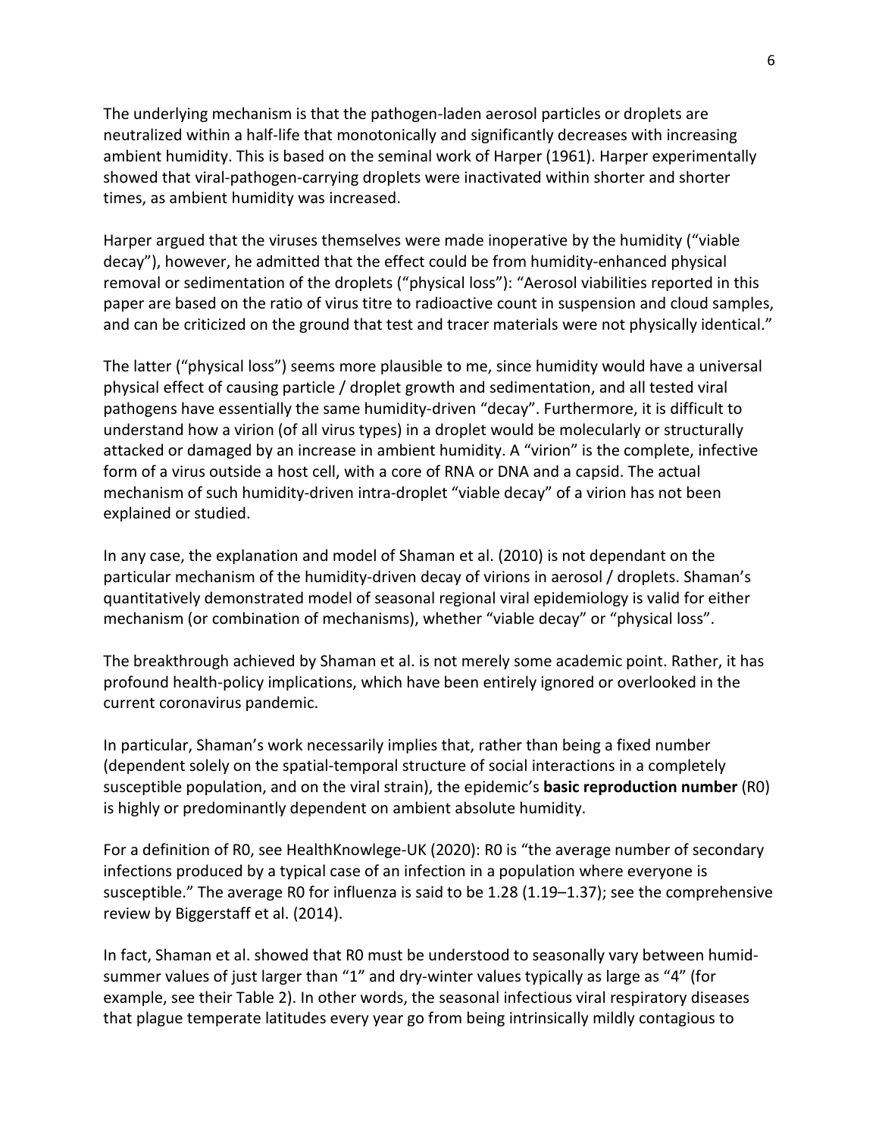The underlying mechanism is that the pathogen-laden aerosol particles or droplets are neutralized within a half-life that monotonically and significantly decreases with increasing ambient humidity. This is based on the seminal work of Harper (1961). Harper experimentally showed that viral-pathogen-carrying droplets were inactivated within shorter and shorter times, as ambient humidity was increased.

Harper argued that the viruses themselves were made inoperative by the humidity ("viable decay"), however, he admitted that the effect could be from humidity-enhanced physical removal or sedimentation of the droplets ("physical loss"): "Aerosol viabilities reported in this paper are based on the ratio of virus titre to radioactive count in suspension and cloud samples, and can be criticized on the ground that test and tracer materials were not physically identical."

The latter ("physical loss") seems more plausible to me, since humidity would have a universal physical effect of causing particle / droplet growth and sedimentation, and all tested viral pathogens have essentially the same humidity-driven "decay". Furthermore, it is difficult to understand how a virion (of all virus types) in a droplet would be molecularly or structurally attacked or damaged by an increase in ambient humidity. A "virion" is the complete, infective form of a virus outside a host cell, with a core of RNA or DNA and a capsid. The actual mechanism of such humidity-driven intra-droplet "viable decay" of a virion has not been explained or studied.

In any case, the explanation and model of Shaman et al. (2010) is not dependant on the particular mechanism of the humidity-driven decay of virions in aerosol / droplets. Shaman's quantitatively demonstrated model of seasonal regional viral epidemiology is valid for either mechanism (or combination of mechanisms), whether "viable decay" or "physical loss".

The breakthrough achieved by Shaman et al. is not merely some academic point. Rather, it has profound health-policy implications, which have been entirely ignored or overlooked in the current coronavirus pandemic.

In particular, Shaman's work necessarily implies that, rather than being a fixed number (dependent solely on the spatial-temporal structure of social interactions in a completely susceptible population, and on the viral strain), the epidemic's **basic reproduction number** (R0) is highly or predominantly dependent on ambient absolute humidity.

For a definition of R0, see HealthKnowlege-UK (2020): R0 is "the average number of secondary infections produced by a typical case of an infection in a population where everyone is susceptible." The average R0 for influenza is said to be 1.28 (1.19–1.37); see the comprehensive review by Biggerstaff et al. (2014).

In fact, Shaman et al. showed that R0 must be understood to seasonally vary between humidsummer values of just larger than "1" and dry-winter values typically as large as "4" (for example, see their Table 2). In other words, the seasonal infectious viral respiratory diseases that plague temperate latitudes every year go from being intrinsically mildly contagious to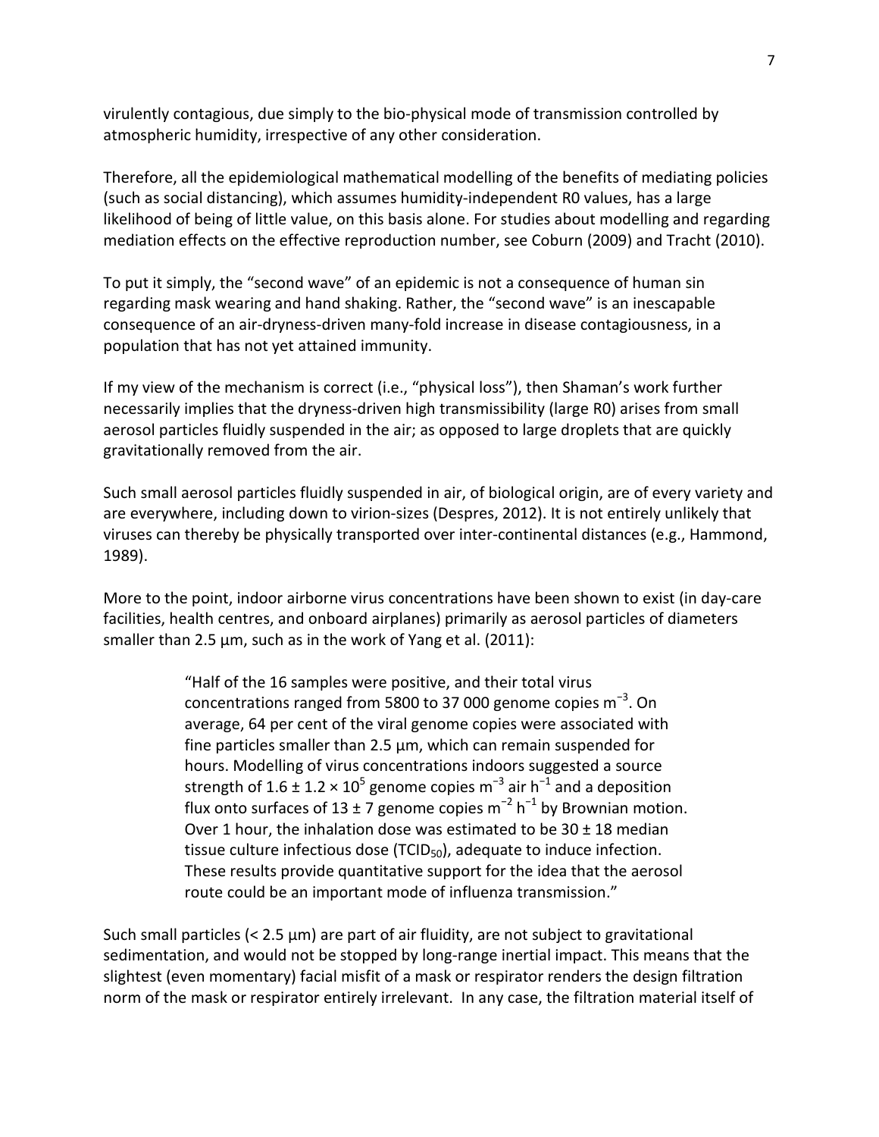virulently contagious, due simply to the bio-physical mode of transmission controlled by atmospheric humidity, irrespective of any other consideration.

Therefore, all the epidemiological mathematical modelling of the benefits of mediating policies (such as social distancing), which assumes humidity-independent R0 values, has a large likelihood of being of little value, on this basis alone. For studies about modelling and regarding mediation effects on the effective reproduction number, see Coburn (2009) and Tracht (2010).

To put it simply, the "second wave" of an epidemic is not a consequence of human sin regarding mask wearing and hand shaking. Rather, the "second wave" is an inescapable consequence of an air-dryness-driven many-fold increase in disease contagiousness, in a population that has not yet attained immunity.

If my view of the mechanism is correct (i.e., "physical loss"), then Shaman's work further necessarily implies that the dryness-driven high transmissibility (large R0) arises from small aerosol particles fluidly suspended in the air; as opposed to large droplets that are quickly gravitationally removed from the air.

Such small aerosol particles fluidly suspended in air, of biological origin, are of every variety and are everywhere, including down to virion-sizes (Despres, 2012). It is not entirely unlikely that viruses can thereby be physically transported over inter-continental distances (e.g., Hammond, 1989).

More to the point, indoor airborne virus concentrations have been shown to exist (in day-care facilities, health centres, and onboard airplanes) primarily as aerosol particles of diameters smaller than 2.5  $\mu$ m, such as in the work of Yang et al. (2011):

> "Half of the 16 samples were positive, and their total virus concentrations ranged from 5800 to 37 000 genome copies m<sup>-3</sup>. On average, 64 per cent of the viral genome copies were associated with fine particles smaller than 2.5 µm, which can remain suspended for hours. Modelling of virus concentrations indoors suggested a source strength of 1.6 ± 1.2 × 10<sup>5</sup> genome copies m<sup>-3</sup> air h<sup>-1</sup> and a deposition flux onto surfaces of 13 ± 7 genome copies m<sup>-2</sup> h<sup>-1</sup> by Brownian motion. Over 1 hour, the inhalation dose was estimated to be  $30 \pm 18$  median tissue culture infectious dose  $(TCID<sub>50</sub>)$ , adequate to induce infection. These results provide quantitative support for the idea that the aerosol route could be an important mode of influenza transmission."

Such small particles (< 2.5 μm) are part of air fluidity, are not subject to gravitational sedimentation, and would not be stopped by long-range inertial impact. This means that the slightest (even momentary) facial misfit of a mask or respirator renders the design filtration norm of the mask or respirator entirely irrelevant. In any case, the filtration material itself of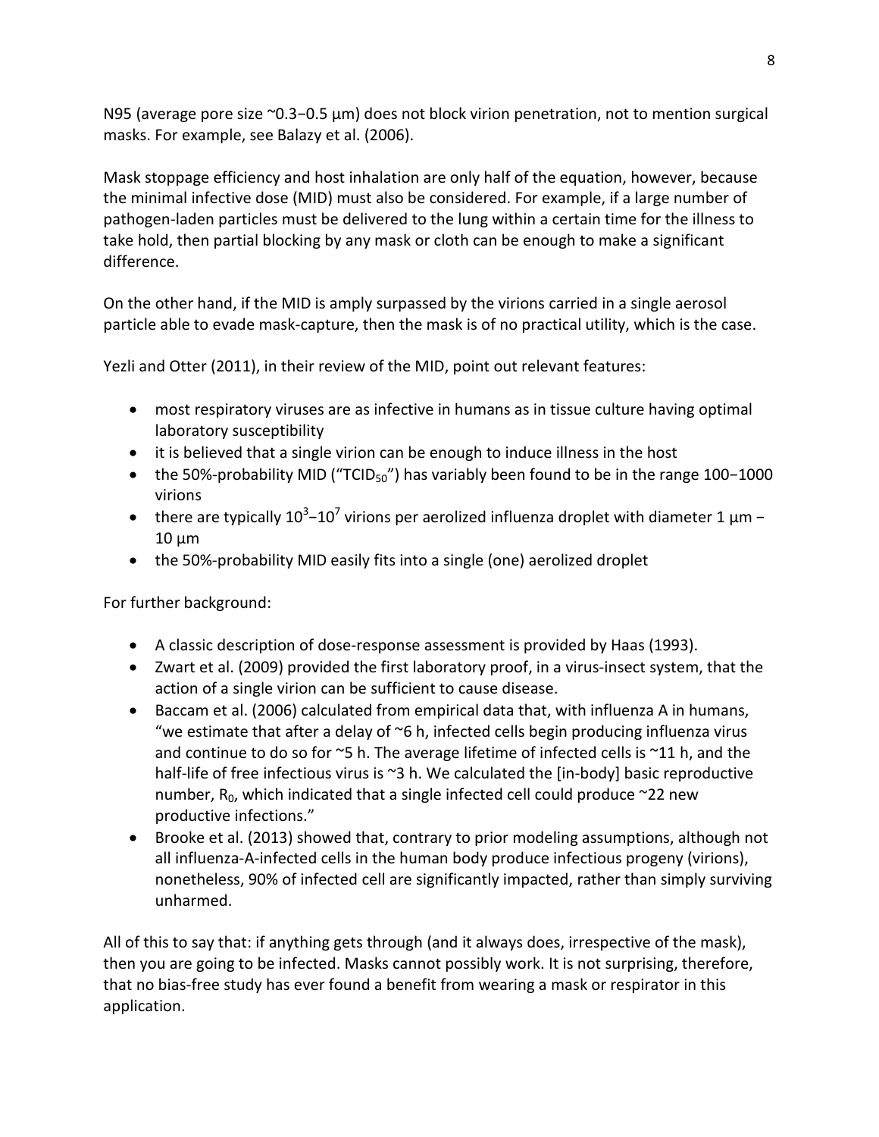N95 (average pore size ~0.3−0.5 μm) does not block virion penetration, not to mention surgical masks. For example, see Balazy et al. (2006).

Mask stoppage efficiency and host inhalation are only half of the equation, however, because the minimal infective dose (MID) must also be considered. For example, if a large number of pathogen-laden particles must be delivered to the lung within a certain time for the illness to take hold, then partial blocking by any mask or cloth can be enough to make a significant difference.

On the other hand, if the MID is amply surpassed by the virions carried in a single aerosol particle able to evade mask-capture, then the mask is of no practical utility, which is the case.

Yezli and Otter (2011), in their review of the MID, point out relevant features:

- most respiratory viruses are as infective in humans as in tissue culture having optimal laboratory susceptibility
- it is believed that a single virion can be enough to induce illness in the host
- the 50%-probability MID ("TCID<sub>50</sub>") has variably been found to be in the range 100-1000 virions
- there are typically  $10^3$ – $10^7$  virions per aerolized influenza droplet with diameter 1  $\mu$ m 10 μm
- the 50%-probability MID easily fits into a single (one) aerolized droplet

For further background:

- A classic description of dose-response assessment is provided by Haas (1993).
- Zwart et al. (2009) provided the first laboratory proof, in a virus-insect system, that the action of a single virion can be sufficient to cause disease.
- Baccam et al. (2006) calculated from empirical data that, with influenza A in humans, "we estimate that after a delay of  $\infty$ 6 h, infected cells begin producing influenza virus and continue to do so for ~5 h. The average lifetime of infected cells is ~11 h, and the half-life of free infectious virus is ~3 h. We calculated the [in-body] basic reproductive number,  $R_0$ , which indicated that a single infected cell could produce  $\approx$ 22 new productive infections."
- Brooke et al. (2013) showed that, contrary to prior modeling assumptions, although not all influenza-A-infected cells in the human body produce infectious progeny (virions), nonetheless, 90% of infected cell are significantly impacted, rather than simply surviving unharmed.

All of this to say that: if anything gets through (and it always does, irrespective of the mask), then you are going to be infected. Masks cannot possibly work. It is not surprising, therefore, that no bias-free study has ever found a benefit from wearing a mask or respirator in this application.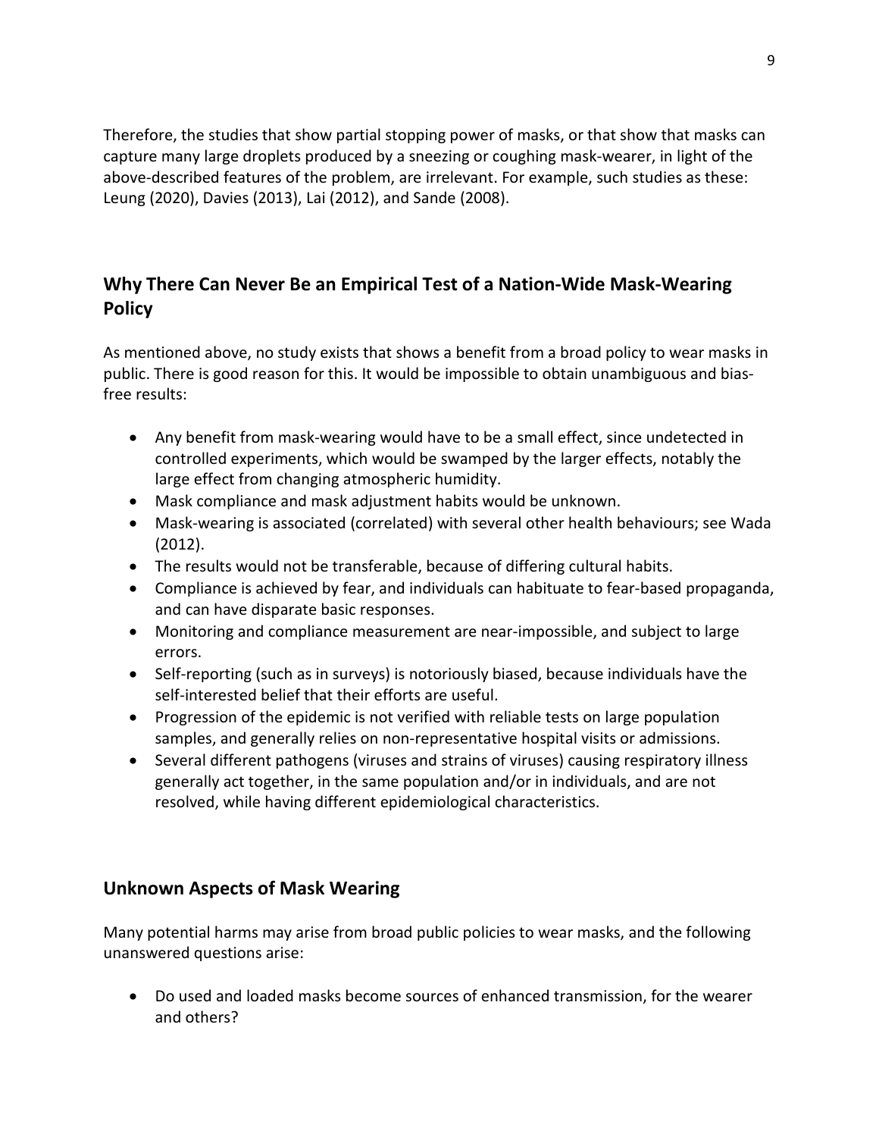Therefore, the studies that show partial stopping power of masks, or that show that masks can capture many large droplets produced by a sneezing or coughing mask-wearer, in light of the above-described features of the problem, are irrelevant. For example, such studies as these: Leung (2020), Davies (2013), Lai (2012), and Sande (2008).

### **Why There Can Never Be an Empirical Test of a Nation-Wide Mask-Wearing Policy**

As mentioned above, no study exists that shows a benefit from a broad policy to wear masks in public. There is good reason for this. It would be impossible to obtain unambiguous and biasfree results:

- Any benefit from mask-wearing would have to be a small effect, since undetected in controlled experiments, which would be swamped by the larger effects, notably the large effect from changing atmospheric humidity.
- Mask compliance and mask adjustment habits would be unknown.
- Mask-wearing is associated (correlated) with several other health behaviours; see Wada (2012).
- The results would not be transferable, because of differing cultural habits.
- Compliance is achieved by fear, and individuals can habituate to fear-based propaganda, and can have disparate basic responses.
- Monitoring and compliance measurement are near-impossible, and subject to large errors.
- Self-reporting (such as in surveys) is notoriously biased, because individuals have the self-interested belief that their efforts are useful.
- Progression of the epidemic is not verified with reliable tests on large population samples, and generally relies on non-representative hospital visits or admissions.
- Several different pathogens (viruses and strains of viruses) causing respiratory illness generally act together, in the same population and/or in individuals, and are not resolved, while having different epidemiological characteristics.

### **Unknown Aspects of Mask Wearing**

Many potential harms may arise from broad public policies to wear masks, and the following unanswered questions arise:

• Do used and loaded masks become sources of enhanced transmission, for the wearer and others?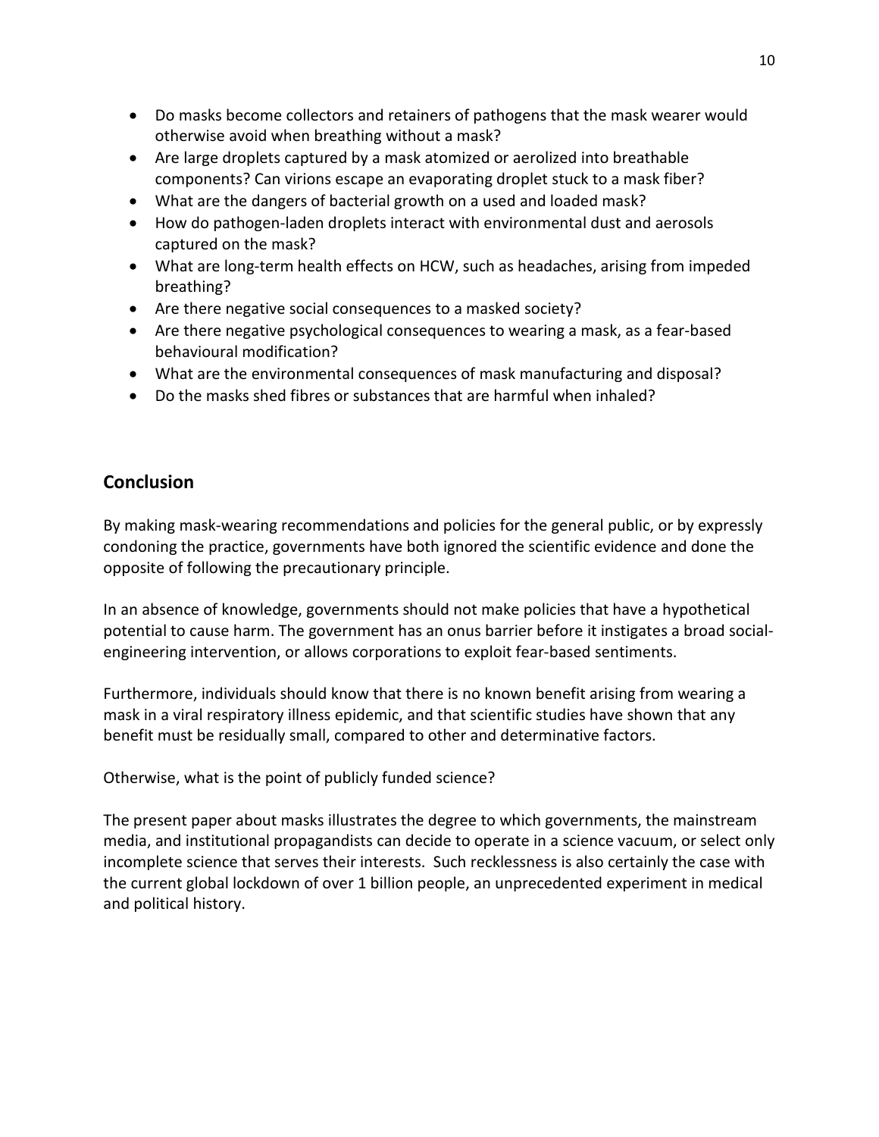- Do masks become collectors and retainers of pathogens that the mask wearer would otherwise avoid when breathing without a mask?
- Are large droplets captured by a mask atomized or aerolized into breathable components? Can virions escape an evaporating droplet stuck to a mask fiber?
- What are the dangers of bacterial growth on a used and loaded mask?
- How do pathogen-laden droplets interact with environmental dust and aerosols captured on the mask?
- What are long-term health effects on HCW, such as headaches, arising from impeded breathing?
- Are there negative social consequences to a masked society?
- Are there negative psychological consequences to wearing a mask, as a fear-based behavioural modification?
- What are the environmental consequences of mask manufacturing and disposal?
- Do the masks shed fibres or substances that are harmful when inhaled?

#### **Conclusion**

By making mask-wearing recommendations and policies for the general public, or by expressly condoning the practice, governments have both ignored the scientific evidence and done the opposite of following the precautionary principle.

In an absence of knowledge, governments should not make policies that have a hypothetical potential to cause harm. The government has an onus barrier before it instigates a broad socialengineering intervention, or allows corporations to exploit fear-based sentiments.

Furthermore, individuals should know that there is no known benefit arising from wearing a mask in a viral respiratory illness epidemic, and that scientific studies have shown that any benefit must be residually small, compared to other and determinative factors.

Otherwise, what is the point of publicly funded science?

The present paper about masks illustrates the degree to which governments, the mainstream media, and institutional propagandists can decide to operate in a science vacuum, or select only incomplete science that serves their interests. Such recklessness is also certainly the case with the current global lockdown of over 1 billion people, an unprecedented experiment in medical and political history.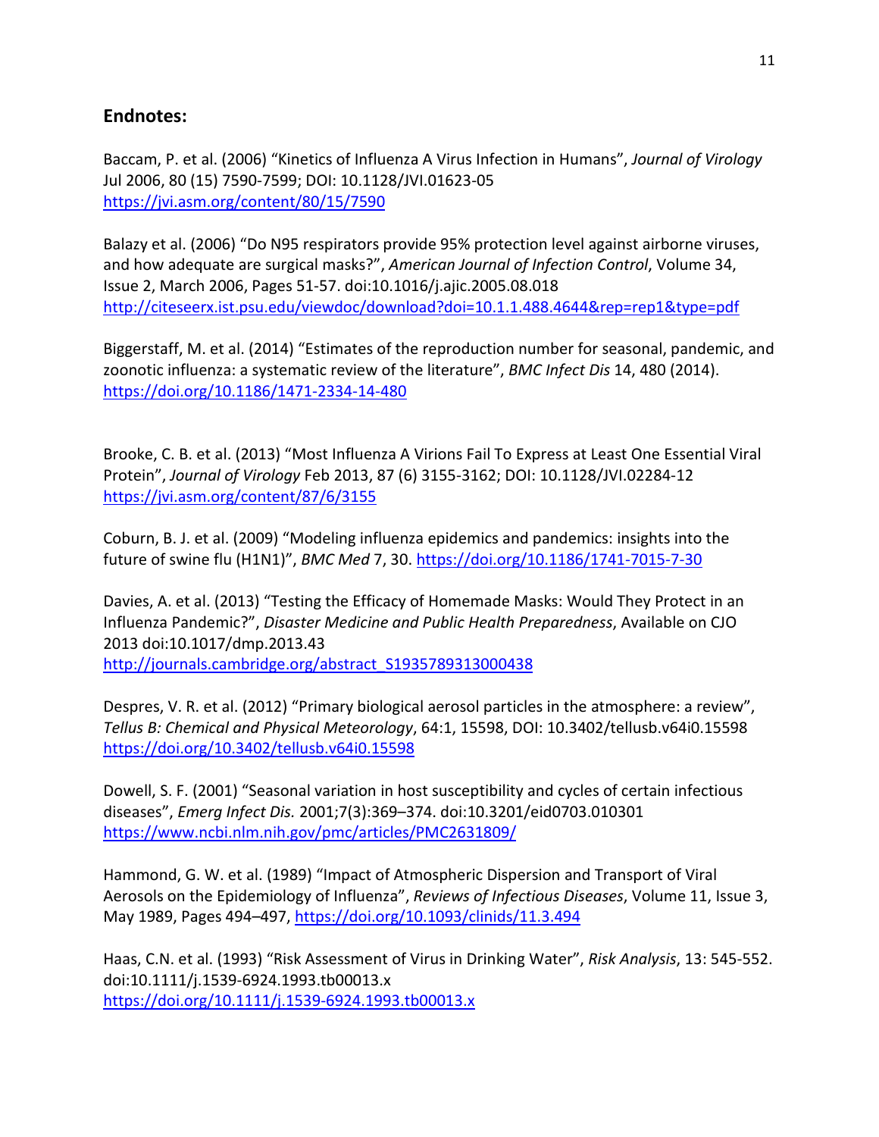#### **Endnotes:**

Baccam, P. et al. (2006) "Kinetics of Influenza A Virus Infection in Humans", *Journal of Virology* Jul 2006, 80 (15) 7590-7599; DOI: 10.1128/JVI.01623-05 <https://jvi.asm.org/content/80/15/7590>

Balazy et al. (2006) "Do N95 respirators provide 95% protection level against airborne viruses, and how adequate are surgical masks?", *American Journal of Infection Control*, Volume 34, Issue 2, March 2006, Pages 51-57. doi:10.1016/j.ajic.2005.08.018 <http://citeseerx.ist.psu.edu/viewdoc/download?doi=10.1.1.488.4644&rep=rep1&type=pdf>

Biggerstaff, M. et al. (2014) "Estimates of the reproduction number for seasonal, pandemic, and zoonotic influenza: a systematic review of the literature", *BMC Infect Dis* 14, 480 (2014). <https://doi.org/10.1186/1471-2334-14-480>

Brooke, C. B. et al. (2013) "Most Influenza A Virions Fail To Express at Least One Essential Viral Protein", *Journal of Virology* Feb 2013, 87 (6) 3155-3162; DOI: 10.1128/JVI.02284-12 <https://jvi.asm.org/content/87/6/3155>

Coburn, B. J. et al. (2009) "Modeling influenza epidemics and pandemics: insights into the future of swine flu (H1N1)", *BMC Med* 7, 30.<https://doi.org/10.1186/1741-7015-7-30>

Davies, A. et al. (2013) "Testing the Efficacy of Homemade Masks: Would They Protect in an Influenza Pandemic?", *Disaster Medicine and Public Health Preparedness*, Available on CJO 2013 doi:10.1017/dmp.2013.43 [http://journals.cambridge.org/abstract\\_S1935789313000438](http://journals.cambridge.org/abstract_S1935789313000438)

Despres, V. R. et al. (2012) "Primary biological aerosol particles in the atmosphere: a review", *Tellus B: Chemical and Physical Meteorology*, 64:1, 15598, DOI: 10.3402/tellusb.v64i0.15598 <https://doi.org/10.3402/tellusb.v64i0.15598>

Dowell, S. F. (2001) "Seasonal variation in host susceptibility and cycles of certain infectious diseases", *Emerg Infect Dis.* 2001;7(3):369–374. doi:10.3201/eid0703.010301 <https://www.ncbi.nlm.nih.gov/pmc/articles/PMC2631809/>

Hammond, G. W. et al. (1989) "Impact of Atmospheric Dispersion and Transport of Viral Aerosols on the Epidemiology of Influenza", *Reviews of Infectious Diseases*, Volume 11, Issue 3, May 1989, Pages 494–497,<https://doi.org/10.1093/clinids/11.3.494>

Haas, C.N. et al. (1993) "Risk Assessment of Virus in Drinking Water", *Risk Analysis*, 13: 545-552. doi:10.1111/j.1539-6924.1993.tb00013.x <https://doi.org/10.1111/j.1539-6924.1993.tb00013.x>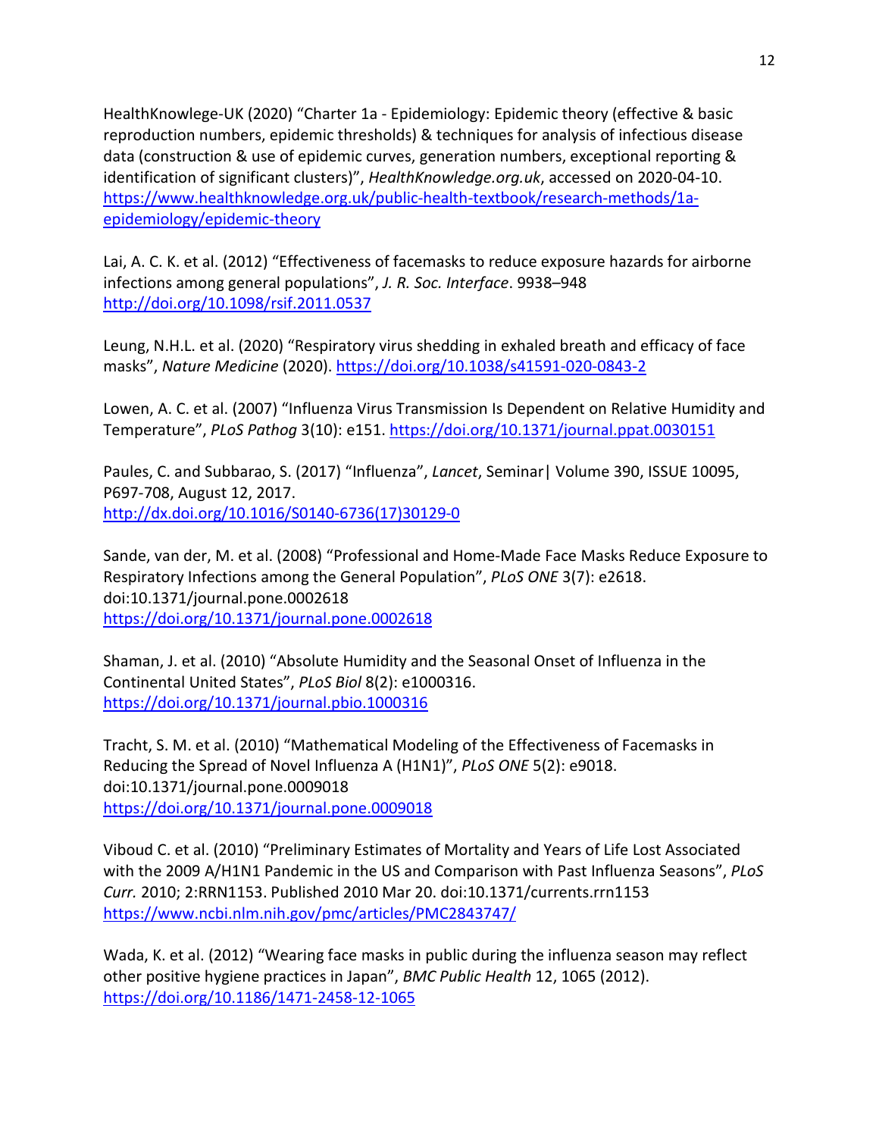HealthKnowlege-UK (2020) "Charter 1a - Epidemiology: Epidemic theory (effective & basic reproduction numbers, epidemic thresholds) & techniques for analysis of infectious disease data (construction & use of epidemic curves, generation numbers, exceptional reporting & identification of significant clusters)", *HealthKnowledge.org.uk*, accessed on 2020-04-10. [https://www.healthknowledge.org.uk/public-health-textbook/research-methods/1a](https://www.healthknowledge.org.uk/public-health-textbook/research-methods/1a-epidemiology/epidemic-theory)[epidemiology/epidemic-theory](https://www.healthknowledge.org.uk/public-health-textbook/research-methods/1a-epidemiology/epidemic-theory)

Lai, A. C. K. et al. (2012) "Effectiveness of facemasks to reduce exposure hazards for airborne infections among general populations", *J. R. Soc. Interface*. 9938–948 <http://doi.org/10.1098/rsif.2011.0537>

Leung, N.H.L. et al. (2020) "Respiratory virus shedding in exhaled breath and efficacy of face masks", *Nature Medicine* (2020).<https://doi.org/10.1038/s41591-020-0843-2>

Lowen, A. C. et al. (2007) "Influenza Virus Transmission Is Dependent on Relative Humidity and Temperature", *PLoS Pathog* 3(10): e151.<https://doi.org/10.1371/journal.ppat.0030151>

Paules, C. and Subbarao, S. (2017) "Influenza", *Lancet*, Seminar| Volume 390, ISSUE 10095, P697-708, August 12, 2017. [http://dx.doi.org/10.1016/S0140-6736\(17\)30129-0](http://dx.doi.org/10.1016/S0140-6736(17)30129-0)

Sande, van der, M. et al. (2008) "Professional and Home-Made Face Masks Reduce Exposure to Respiratory Infections among the General Population", *PLoS ONE* 3(7): e2618. doi:10.1371/journal.pone.0002618 <https://doi.org/10.1371/journal.pone.0002618>

Shaman, J. et al. (2010) "Absolute Humidity and the Seasonal Onset of Influenza in the Continental United States", *PLoS Biol* 8(2): e1000316. <https://doi.org/10.1371/journal.pbio.1000316>

Tracht, S. M. et al. (2010) "Mathematical Modeling of the Effectiveness of Facemasks in Reducing the Spread of Novel Influenza A (H1N1)", *PLoS ONE* 5(2): e9018. doi:10.1371/journal.pone.0009018 <https://doi.org/10.1371/journal.pone.0009018>

Viboud C. et al. (2010) "Preliminary Estimates of Mortality and Years of Life Lost Associated with the 2009 A/H1N1 Pandemic in the US and Comparison with Past Influenza Seasons", *PLoS Curr.* 2010; 2:RRN1153. Published 2010 Mar 20. doi:10.1371/currents.rrn1153 <https://www.ncbi.nlm.nih.gov/pmc/articles/PMC2843747/>

Wada, K. et al. (2012) "Wearing face masks in public during the influenza season may reflect other positive hygiene practices in Japan", *BMC Public Health* 12, 1065 (2012). <https://doi.org/10.1186/1471-2458-12-1065>